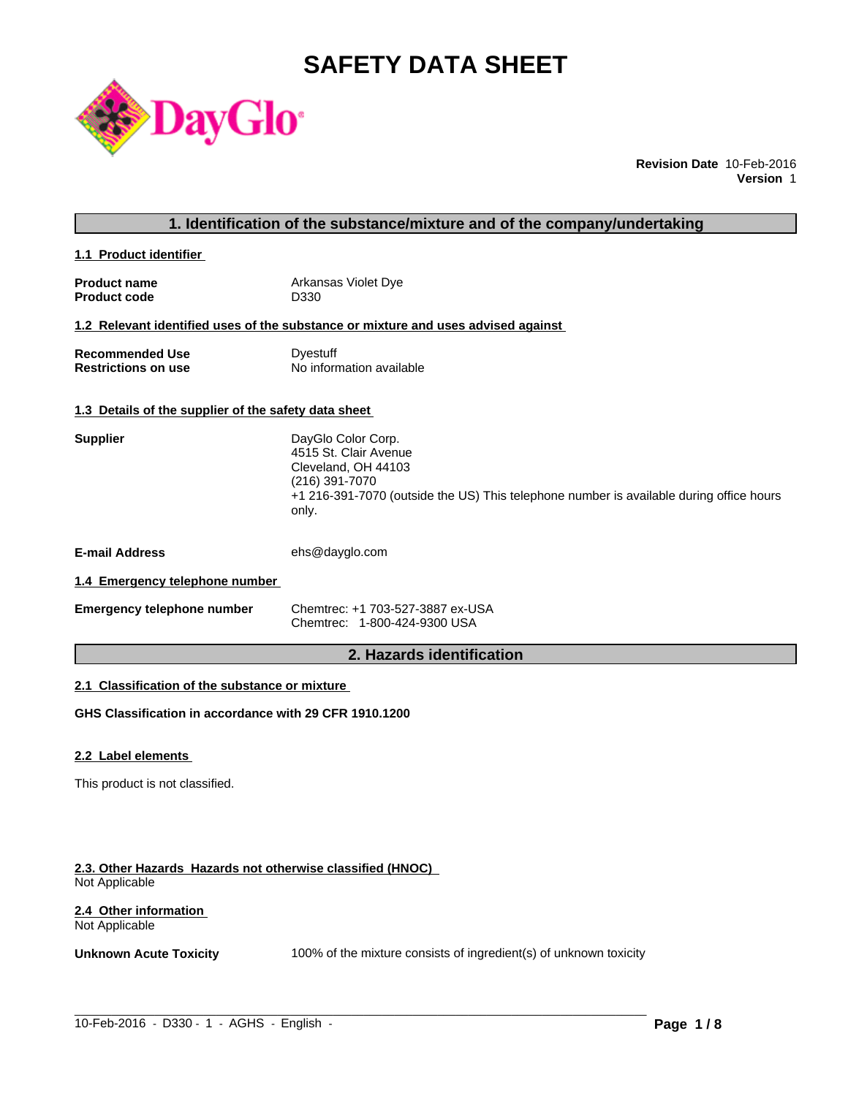# **SAFETY DATA SHEET**



**Revision Date** 10-Feb-2016 **Version** 1

### **1. Identification of the substance/mixture and of the company/undertaking**

**1.1 Product identifier** 

| <b>Product name</b> | Arkansas Violet Dye |
|---------------------|---------------------|
| <b>Product code</b> | D330                |

#### **1.2 Relevant identified uses of the substance or mixture and uses advised against**

**Recommended Use Commended Use Commended Use Comments** Dyestuff Restrictions on use **No information available** 

### **1.3 Details of the supplier of the safety data sheet**

| <b>Supplier</b>       | DayGlo Color Corp.<br>4515 St. Clair Avenue<br>Cleveland, OH 44103<br>(216) 391-7070<br>+1 216-391-7070 (outside the US) This telephone number is available during office hours<br>only. |
|-----------------------|------------------------------------------------------------------------------------------------------------------------------------------------------------------------------------------|
| <b>E-mail Address</b> | ehs@dayglo.com                                                                                                                                                                           |

### **1.4 Emergency telephone number**

| <b>Emergency telephone number</b> | Chemtrec: +1 703-527-3887 ex-USA |
|-----------------------------------|----------------------------------|
|                                   | Chemtrec: 1-800-424-9300 USA     |

### **2. Hazards identification**

### **2.1 Classification of the substance or mixture**

**GHS Classification in accordance with 29 CFR 1910.1200**

#### **2.2 Label elements**

This product is not classified.

#### **2.3. Other Hazards Hazards not otherwise classified (HNOC)**  Not Applicable

#### **2.4 Other information**  Not Applicable

**Unknown Acute Toxicity** 100% of the mixture consists of ingredient(s) of unknown toxicity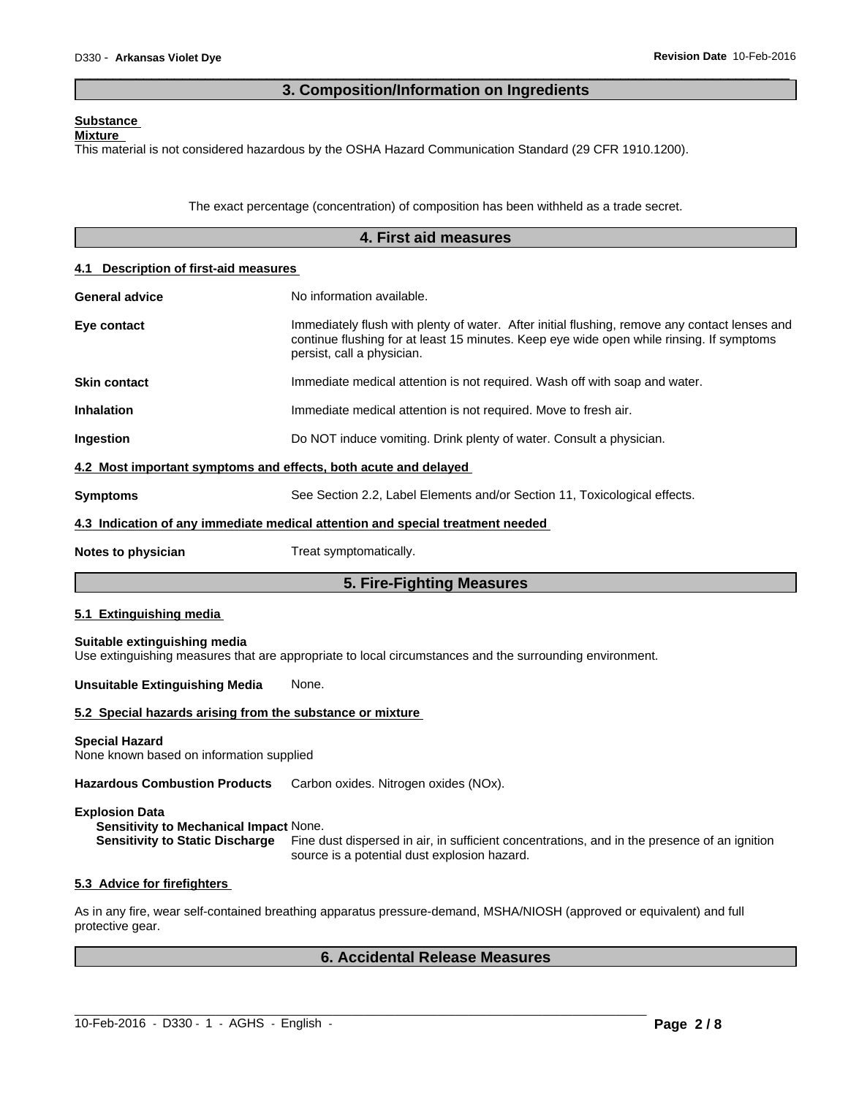### **3. Composition/Information on Ingredients**

 $\overline{\phantom{a}}$  ,  $\overline{\phantom{a}}$  ,  $\overline{\phantom{a}}$  ,  $\overline{\phantom{a}}$  ,  $\overline{\phantom{a}}$  ,  $\overline{\phantom{a}}$  ,  $\overline{\phantom{a}}$  ,  $\overline{\phantom{a}}$  ,  $\overline{\phantom{a}}$  ,  $\overline{\phantom{a}}$  ,  $\overline{\phantom{a}}$  ,  $\overline{\phantom{a}}$  ,  $\overline{\phantom{a}}$  ,  $\overline{\phantom{a}}$  ,  $\overline{\phantom{a}}$  ,  $\overline{\phantom{a}}$ 

### **Substance**

### **Mixture**

This material is not considered hazardous by the OSHA Hazard Communication Standard (29 CFR 1910.1200).

The exact percentage (concentration) of composition has been withheld as a trade secret.

|                                                                                                                  | 4. First aid measures                                                                                                                                                                                                   |
|------------------------------------------------------------------------------------------------------------------|-------------------------------------------------------------------------------------------------------------------------------------------------------------------------------------------------------------------------|
| 4.1 Description of first-aid measures                                                                            |                                                                                                                                                                                                                         |
| <b>General advice</b>                                                                                            | No information available.                                                                                                                                                                                               |
| Eye contact                                                                                                      | Immediately flush with plenty of water. After initial flushing, remove any contact lenses and<br>continue flushing for at least 15 minutes. Keep eye wide open while rinsing. If symptoms<br>persist, call a physician. |
| <b>Skin contact</b>                                                                                              | Immediate medical attention is not required. Wash off with soap and water.                                                                                                                                              |
| Inhalation                                                                                                       | Immediate medical attention is not required. Move to fresh air.                                                                                                                                                         |
| Ingestion                                                                                                        | Do NOT induce vomiting. Drink plenty of water. Consult a physician.                                                                                                                                                     |
| 4.2 Most important symptoms and effects, both acute and delayed                                                  |                                                                                                                                                                                                                         |
| <b>Symptoms</b>                                                                                                  | See Section 2.2, Label Elements and/or Section 11, Toxicological effects.                                                                                                                                               |
|                                                                                                                  | 4.3 Indication of any immediate medical attention and special treatment needed                                                                                                                                          |
| <b>Notes to physician</b>                                                                                        | Treat symptomatically.                                                                                                                                                                                                  |
|                                                                                                                  | 5. Fire-Fighting Measures                                                                                                                                                                                               |
| 5.1 Extinguishing media                                                                                          |                                                                                                                                                                                                                         |
| Suitable extinguishing media                                                                                     | Use extinguishing measures that are appropriate to local circumstances and the surrounding environment.                                                                                                                 |
| Unsuitable Extinguishing Media                                                                                   | None.                                                                                                                                                                                                                   |
| 5.2 Special hazards arising from the substance or mixture                                                        |                                                                                                                                                                                                                         |
| <b>Special Hazard</b><br>None known based on information supplied                                                |                                                                                                                                                                                                                         |
| <b>Hazardous Combustion Products</b>                                                                             | Carbon oxides. Nitrogen oxides (NOx).                                                                                                                                                                                   |
| <b>Explosion Data</b><br><b>Sensitivity to Mechanical Impact None.</b><br><b>Sensitivity to Static Discharge</b> | Fine dust dispersed in air, in sufficient concentrations, and in the presence of an ignition<br>source is a potential dust explosion hazard.                                                                            |
| 5.3 Advice for firefighters                                                                                      |                                                                                                                                                                                                                         |
| protective gear.                                                                                                 | As in any fire, wear self-contained breathing apparatus pressure-demand, MSHA/NIOSH (approved or equivalent) and full                                                                                                   |

## **6. Accidental Release Measures**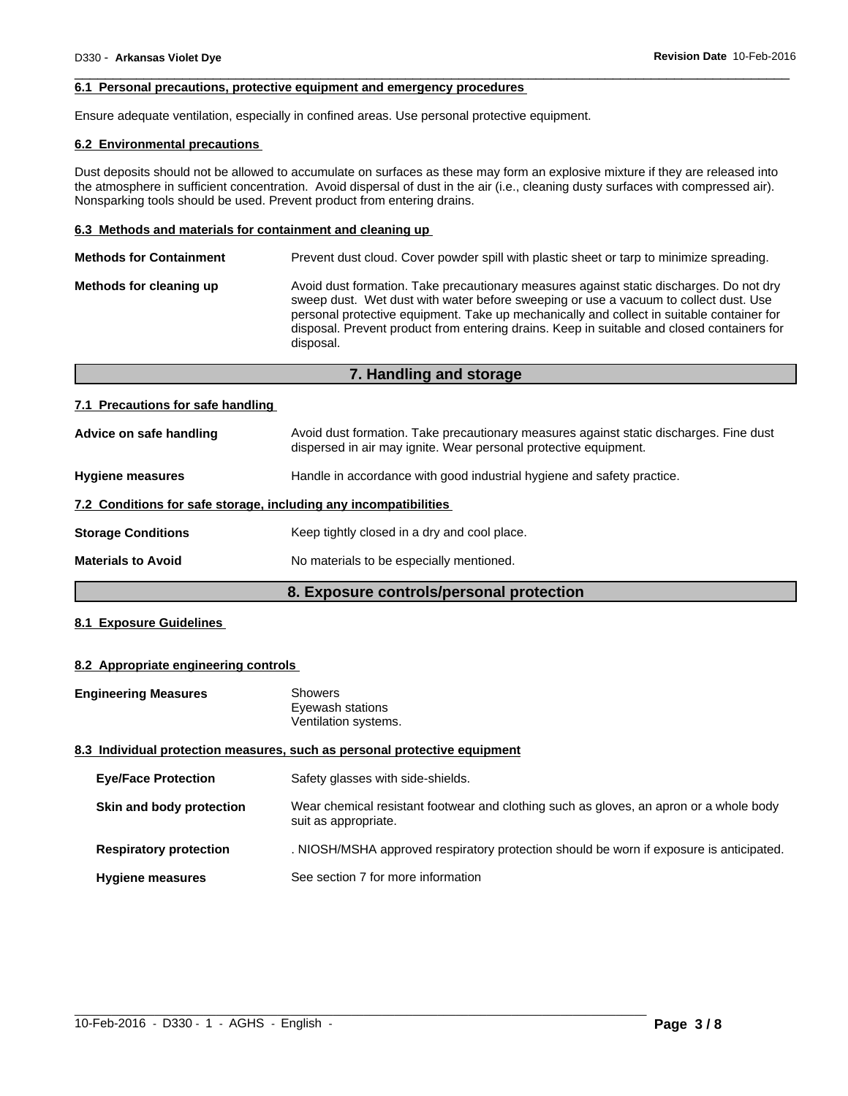#### **6.1 Personal precautions, protective equipment and emergency procedures**

Ensure adequate ventilation, especially in confined areas. Use personal protective equipment.

#### **6.2 Environmental precautions**

Dust deposits should not be allowed to accumulate on surfaces as these may form an explosive mixture if they are released into the atmosphere in sufficient concentration. Avoid dispersal of dust in the air (i.e., cleaning dusty surfaces with compressed air). Nonsparking tools should be used. Prevent product from entering drains.

 $\overline{\phantom{a}}$  ,  $\overline{\phantom{a}}$  ,  $\overline{\phantom{a}}$  ,  $\overline{\phantom{a}}$  ,  $\overline{\phantom{a}}$  ,  $\overline{\phantom{a}}$  ,  $\overline{\phantom{a}}$  ,  $\overline{\phantom{a}}$  ,  $\overline{\phantom{a}}$  ,  $\overline{\phantom{a}}$  ,  $\overline{\phantom{a}}$  ,  $\overline{\phantom{a}}$  ,  $\overline{\phantom{a}}$  ,  $\overline{\phantom{a}}$  ,  $\overline{\phantom{a}}$  ,  $\overline{\phantom{a}}$ 

### **6.3 Methods and materials for containment and cleaning up**

| <b>Methods for Containment</b> | Prevent dust cloud. Cover powder spill with plastic sheet or tarp to minimize spreading.                                                                                                                                                                                                                                                                                                |
|--------------------------------|-----------------------------------------------------------------------------------------------------------------------------------------------------------------------------------------------------------------------------------------------------------------------------------------------------------------------------------------------------------------------------------------|
| Methods for cleaning up        | Avoid dust formation. Take precautionary measures against static discharges. Do not dry<br>sweep dust. Wet dust with water before sweeping or use a vacuum to collect dust. Use<br>personal protective equipment. Take up mechanically and collect in suitable container for<br>disposal. Prevent product from entering drains. Keep in suitable and closed containers for<br>disposal. |
|                                |                                                                                                                                                                                                                                                                                                                                                                                         |

**7. Handling and storage**

| 7.1 Precautions for safe handling                                |                                                                                                                                                            |
|------------------------------------------------------------------|------------------------------------------------------------------------------------------------------------------------------------------------------------|
| Advice on safe handling                                          | Avoid dust formation. Take precautionary measures against static discharges. Fine dust<br>dispersed in air may ignite. Wear personal protective equipment. |
| <b>Hygiene measures</b>                                          | Handle in accordance with good industrial hygiene and safety practice.                                                                                     |
| 7.2 Conditions for safe storage, including any incompatibilities |                                                                                                                                                            |
| <b>Storage Conditions</b>                                        | Keep tightly closed in a dry and cool place.                                                                                                               |
| <b>Materials to Avoid</b>                                        | No materials to be especially mentioned.                                                                                                                   |

### **8. Exposure controls/personal protection**

#### **8.1 Exposure Guidelines**

#### **8.2 Appropriate engineering controls**

| <b>Engineering Measures</b>   | <b>Showers</b><br>Eyewash stations<br>Ventilation systems.                                                     |
|-------------------------------|----------------------------------------------------------------------------------------------------------------|
|                               | 8.3 Individual protection measures, such as personal protective equipment                                      |
| <b>Eve/Face Protection</b>    | Safety glasses with side-shields.                                                                              |
| Skin and body protection      | Wear chemical resistant footwear and clothing such as gloves, an apron or a whole body<br>suit as appropriate. |
| <b>Respiratory protection</b> | . NIOSH/MSHA approved respiratory protection should be worn if exposure is anticipated.                        |
| <b>Hygiene measures</b>       | See section 7 for more information                                                                             |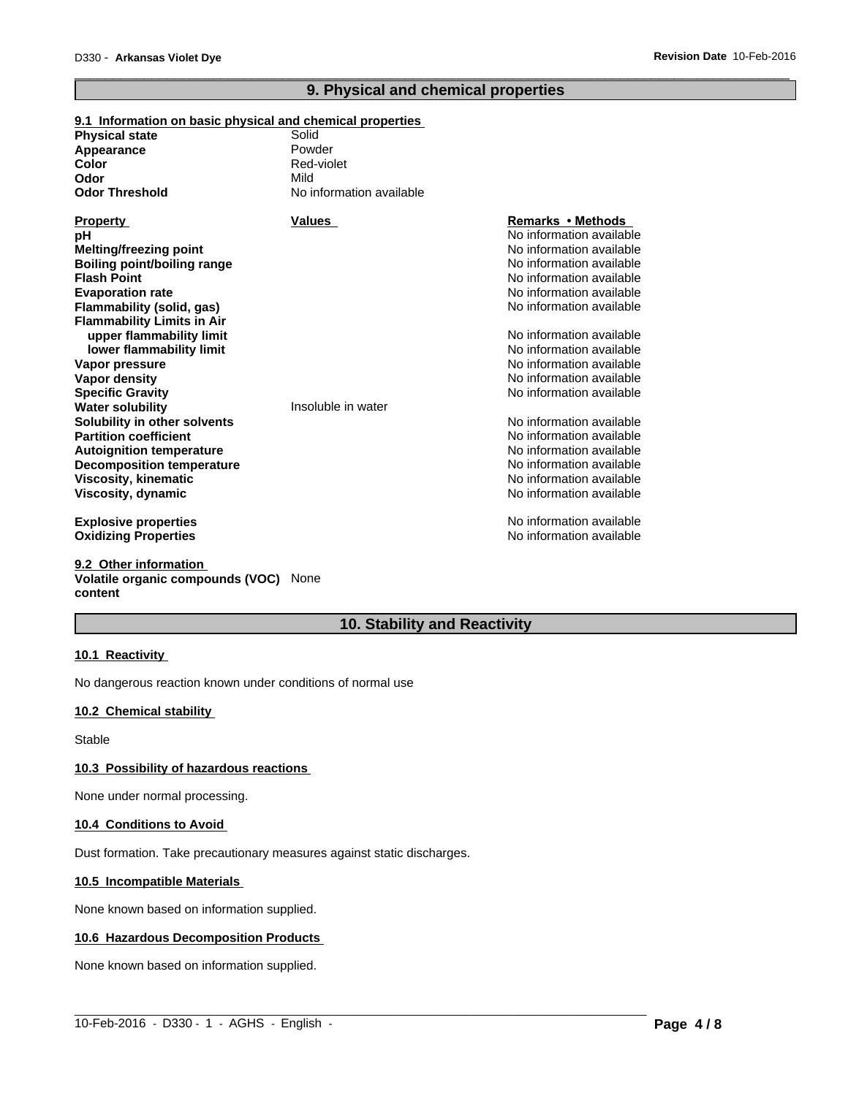### **9. Physical and chemical properties**

 $\overline{\phantom{a}}$  ,  $\overline{\phantom{a}}$  ,  $\overline{\phantom{a}}$  ,  $\overline{\phantom{a}}$  ,  $\overline{\phantom{a}}$  ,  $\overline{\phantom{a}}$  ,  $\overline{\phantom{a}}$  ,  $\overline{\phantom{a}}$  ,  $\overline{\phantom{a}}$  ,  $\overline{\phantom{a}}$  ,  $\overline{\phantom{a}}$  ,  $\overline{\phantom{a}}$  ,  $\overline{\phantom{a}}$  ,  $\overline{\phantom{a}}$  ,  $\overline{\phantom{a}}$  ,  $\overline{\phantom{a}}$ 

### **9.1 Information on basic physical and chemical properties**

| <b>Physical state</b>             | Solid                    |                          |
|-----------------------------------|--------------------------|--------------------------|
| Appearance                        | Powder                   |                          |
| Color                             | Red-violet               |                          |
| Odor                              | Mild                     |                          |
| <b>Odor Threshold</b>             | No information available |                          |
| <b>Property</b>                   | <b>Values</b>            | <b>Remarks • Methods</b> |
| pН                                |                          | No information available |
| <b>Melting/freezing point</b>     |                          | No information available |
| Boiling point/boiling range       |                          | No information available |
| <b>Flash Point</b>                |                          | No information available |
| <b>Evaporation rate</b>           |                          | No information available |
| Flammability (solid, gas)         |                          | No information available |
| <b>Flammability Limits in Air</b> |                          |                          |
| upper flammability limit          |                          | No information available |
| lower flammability limit          |                          | No information available |
| Vapor pressure                    |                          | No information available |
| Vapor density                     |                          | No information available |
| <b>Specific Gravity</b>           |                          | No information available |
| <b>Water solubility</b>           | Insoluble in water       |                          |
| Solubility in other solvents      |                          | No information available |
| <b>Partition coefficient</b>      |                          | No information available |
| <b>Autoignition temperature</b>   |                          | No information available |
| <b>Decomposition temperature</b>  |                          | No information available |
| <b>Viscosity, kinematic</b>       |                          | No information available |
| Viscosity, dynamic                |                          | No information available |
|                                   |                          | No information available |
| <b>Explosive properties</b>       |                          | No information available |
| <b>Oxidizing Properties</b>       |                          |                          |
|                                   |                          |                          |

#### **9.2 Other information Volatile organic compounds (VOC)** None **content**

### **10. Stability and Reactivity**

 $\_$  ,  $\_$  ,  $\_$  ,  $\_$  ,  $\_$  ,  $\_$  ,  $\_$  ,  $\_$  ,  $\_$  ,  $\_$  ,  $\_$  ,  $\_$  ,  $\_$  ,  $\_$  ,  $\_$  ,  $\_$  ,  $\_$  ,  $\_$  ,  $\_$  ,  $\_$  ,  $\_$  ,  $\_$  ,  $\_$  ,  $\_$  ,  $\_$  ,  $\_$  ,  $\_$  ,  $\_$  ,  $\_$  ,  $\_$  ,  $\_$  ,  $\_$  ,  $\_$  ,  $\_$  ,  $\_$  ,  $\_$  ,  $\_$  ,

#### **10.1 Reactivity**

No dangerous reaction known under conditions of normal use

### **10.2 Chemical stability**

Stable

### **10.3 Possibility of hazardous reactions**

None under normal processing.

#### **10.4 Conditions to Avoid**

Dust formation. Take precautionary measures against static discharges.

#### **10.5 Incompatible Materials**

None known based on information supplied.

#### **10.6 Hazardous Decomposition Products**

None known based on information supplied.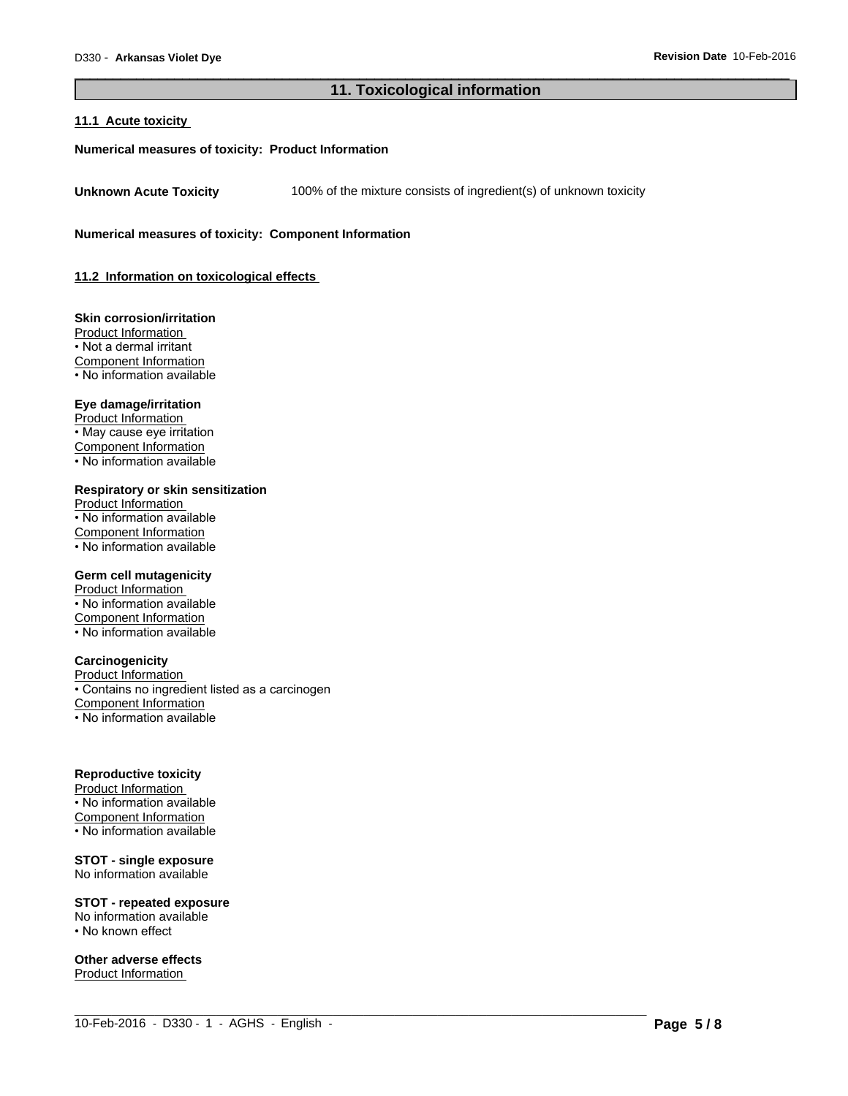### **11. Toxicological information**

 $\_$  ,  $\_$  ,  $\_$  ,  $\_$  ,  $\_$  ,  $\_$  ,  $\_$  ,  $\_$  ,  $\_$  ,  $\_$  ,  $\_$  ,  $\_$  ,  $\_$  ,  $\_$  ,  $\_$  ,  $\_$  ,  $\_$  ,  $\_$  ,  $\_$  ,  $\_$  ,  $\_$  ,  $\_$  ,  $\_$  ,  $\_$  ,  $\_$  ,  $\_$  ,  $\_$  ,  $\_$  ,  $\_$  ,  $\_$  ,  $\_$  ,  $\_$  ,  $\_$  ,  $\_$  ,  $\_$  ,  $\_$  ,  $\_$  ,

 $\overline{\phantom{a}}$  ,  $\overline{\phantom{a}}$  ,  $\overline{\phantom{a}}$  ,  $\overline{\phantom{a}}$  ,  $\overline{\phantom{a}}$  ,  $\overline{\phantom{a}}$  ,  $\overline{\phantom{a}}$  ,  $\overline{\phantom{a}}$  ,  $\overline{\phantom{a}}$  ,  $\overline{\phantom{a}}$  ,  $\overline{\phantom{a}}$  ,  $\overline{\phantom{a}}$  ,  $\overline{\phantom{a}}$  ,  $\overline{\phantom{a}}$  ,  $\overline{\phantom{a}}$  ,  $\overline{\phantom{a}}$ 

#### **11.1 Acute toxicity**

#### **Numerical measures of toxicity: Product Information**

**Unknown Acute Toxicity** 100% of the mixture consists of ingredient(s) of unknown toxicity

**Numerical measures of toxicity: Component Information**

**11.2 Information on toxicological effects** 

**Skin corrosion/irritation** Product Information • Not a dermal irritant Component Information • No information available

#### **Eye damage/irritation**

Product Information • May cause eye irritation Component Information • No information available

**Respiratory or skin sensitization**

Product Information • No information available Component Information • No information available

#### **Germ cell mutagenicity**

Product Information • No information available Component Information • No information available

### **Carcinogenicity**

Product Information • Contains no ingredient listed as a carcinogen Component Information • No information available

#### **Reproductive toxicity**

Product Information • No information available Component Information • No information available

### **STOT - single exposure**

No information available

### **STOT - repeated exposure**

No information available • No known effect

**Other adverse effects** Product Information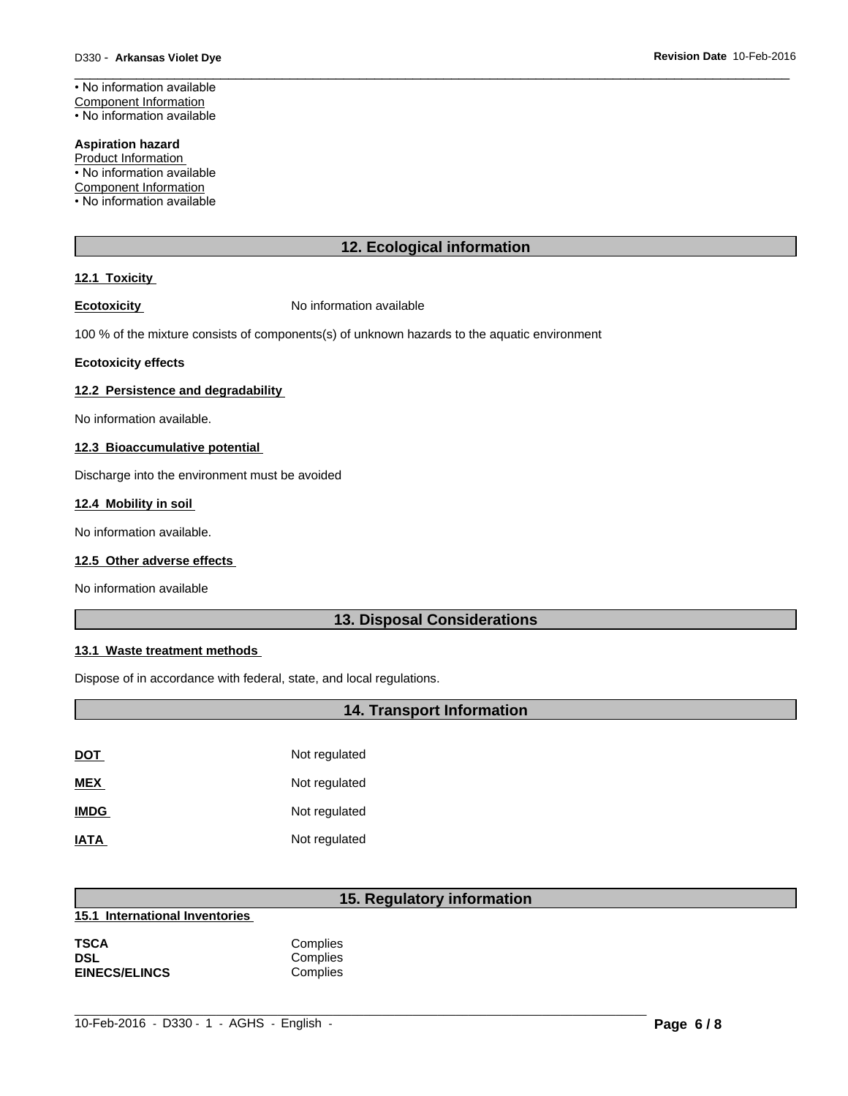### • No information available Component Information

• No information available

#### **Aspiration hazard**

**Product Information** 

• No information available

Component Information

• No information available

### **12. Ecological information**

 $\overline{\phantom{a}}$  ,  $\overline{\phantom{a}}$  ,  $\overline{\phantom{a}}$  ,  $\overline{\phantom{a}}$  ,  $\overline{\phantom{a}}$  ,  $\overline{\phantom{a}}$  ,  $\overline{\phantom{a}}$  ,  $\overline{\phantom{a}}$  ,  $\overline{\phantom{a}}$  ,  $\overline{\phantom{a}}$  ,  $\overline{\phantom{a}}$  ,  $\overline{\phantom{a}}$  ,  $\overline{\phantom{a}}$  ,  $\overline{\phantom{a}}$  ,  $\overline{\phantom{a}}$  ,  $\overline{\phantom{a}}$ 

### **12.1 Toxicity**

**Ecotoxicity No information available** 

100 % of the mixture consists of components(s) of unknown hazards to the aquatic environment

#### **Ecotoxicity effects**

#### **12.2 Persistence and degradability**

No information available.

#### **12.3 Bioaccumulative potential**

Discharge into the environment must be avoided

#### **12.4 Mobility in soil**

No information available.

#### **12.5 Other adverse effects**

No information available

### **13. Disposal Considerations**

#### **13.1 Waste treatment methods**

Dispose of in accordance with federal, state, and local regulations.

### **14. Transport Information**

| <b>DOT</b>  | Not regulated |
|-------------|---------------|
| <b>MEX</b>  | Not regulated |
| <b>IMDG</b> | Not regulated |
| <b>IATA</b> | Not regulated |

### **15. Regulatory information**

| 15.1 International Inventories |
|--------------------------------|
|                                |

| TSCA                 | Complies |  |
|----------------------|----------|--|
| DSL                  | Complies |  |
| <b>EINECS/ELINCS</b> | Complies |  |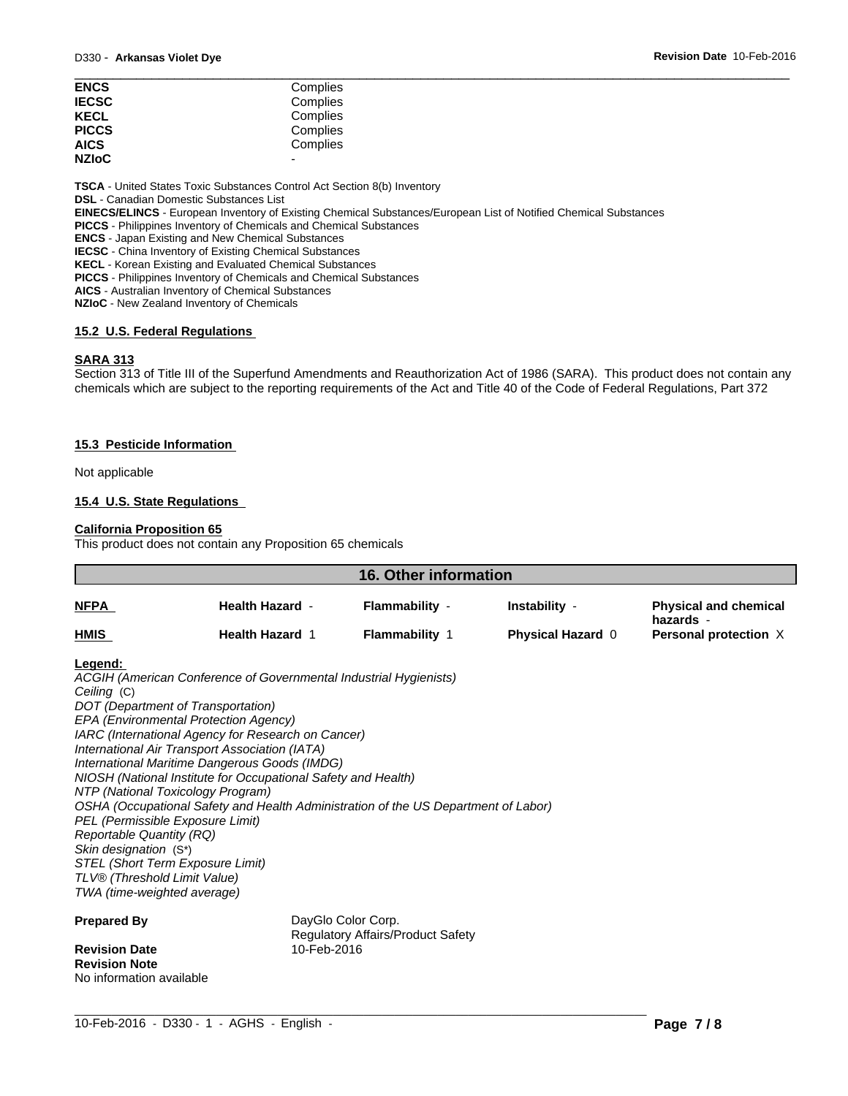| <b>ENCS</b>  | Complies                 |  |
|--------------|--------------------------|--|
| <b>IECSC</b> | Complies                 |  |
| <b>KECL</b>  | Complies                 |  |
| <b>PICCS</b> | Complies                 |  |
| <b>AICS</b>  | Complies                 |  |
| <b>NZIoC</b> | $\overline{\phantom{0}}$ |  |

**TSCA** - United States Toxic Substances Control Act Section 8(b) Inventory

**DSL** - Canadian Domestic Substances List

**EINECS/ELINCS** - European Inventory of Existing Chemical Substances/European List of Notified Chemical Substances

**PICCS** - Philippines Inventory of Chemicals and Chemical Substances

**ENCS** - Japan Existing and New Chemical Substances

**IECSC** - China Inventory of Existing Chemical Substances

**KECL** - Korean Existing and Evaluated Chemical Substances

**PICCS** - Philippines Inventory of Chemicals and Chemical Substances

**AICS** - Australian Inventory of Chemical Substances

**NZIoC** - New Zealand Inventory of Chemicals

#### **15.2 U.S. Federal Regulations**

#### **SARA 313**

Section 313 of Title III of the Superfund Amendments and Reauthorization Act of 1986 (SARA). This product does not contain any chemicals which are subject to the reporting requirements of the Act and Title 40 of the Code of Federal Regulations, Part 372

#### **15.3 Pesticide Information**

Not applicable

### **15.4 U.S. State Regulations**

### **California Proposition 65**

This product does not contain any Proposition 65 chemicals

| <b>16. Other information</b>     |                                                                                             |                                          |                          |                                           |
|----------------------------------|---------------------------------------------------------------------------------------------|------------------------------------------|--------------------------|-------------------------------------------|
| NFPA                             | <b>Health Hazard -</b>                                                                      | Flammability -                           | Instability -            | <b>Physical and chemical</b><br>hazards - |
| HMIS                             | <b>Health Hazard 1</b>                                                                      | <b>Flammability 1</b>                    | <b>Physical Hazard 0</b> | Personal protection X                     |
| Legend:                          |                                                                                             |                                          |                          |                                           |
|                                  | ACGIH (American Conference of Governmental Industrial Hygienists)                           |                                          |                          |                                           |
| Ceiling (C)                      |                                                                                             |                                          |                          |                                           |
|                                  | DOT (Department of Transportation)                                                          |                                          |                          |                                           |
|                                  | EPA (Environmental Protection Agency)<br>IARC (International Agency for Research on Cancer) |                                          |                          |                                           |
|                                  | International Air Transport Association (IATA)                                              |                                          |                          |                                           |
|                                  | International Maritime Dangerous Goods (IMDG)                                               |                                          |                          |                                           |
|                                  | NIOSH (National Institute for Occupational Safety and Health)                               |                                          |                          |                                           |
|                                  | NTP (National Toxicology Program)                                                           |                                          |                          |                                           |
|                                  | OSHA (Occupational Safety and Health Administration of the US Department of Labor)          |                                          |                          |                                           |
| PEL (Permissible Exposure Limit) |                                                                                             |                                          |                          |                                           |
| <b>Reportable Quantity (RQ)</b>  |                                                                                             |                                          |                          |                                           |
| Skin designation (S*)            |                                                                                             |                                          |                          |                                           |
| STEL (Short Term Exposure Limit) |                                                                                             |                                          |                          |                                           |
| TLV® (Threshold Limit Value)     |                                                                                             |                                          |                          |                                           |
| TWA (time-weighted average)      |                                                                                             |                                          |                          |                                           |
| <b>Prepared By</b>               |                                                                                             | DayGlo Color Corp.                       |                          |                                           |
| <b>Revision Date</b>             | 10-Feb-2016                                                                                 | <b>Regulatory Affairs/Product Safety</b> |                          |                                           |
| <b>Revision Note</b>             |                                                                                             |                                          |                          |                                           |
|                                  |                                                                                             |                                          |                          |                                           |

 $\_$  ,  $\_$  ,  $\_$  ,  $\_$  ,  $\_$  ,  $\_$  ,  $\_$  ,  $\_$  ,  $\_$  ,  $\_$  ,  $\_$  ,  $\_$  ,  $\_$  ,  $\_$  ,  $\_$  ,  $\_$  ,  $\_$  ,  $\_$  ,  $\_$  ,  $\_$  ,  $\_$  ,  $\_$  ,  $\_$  ,  $\_$  ,  $\_$  ,  $\_$  ,  $\_$  ,  $\_$  ,  $\_$  ,  $\_$  ,  $\_$  ,  $\_$  ,  $\_$  ,  $\_$  ,  $\_$  ,  $\_$  ,  $\_$  ,

No information available